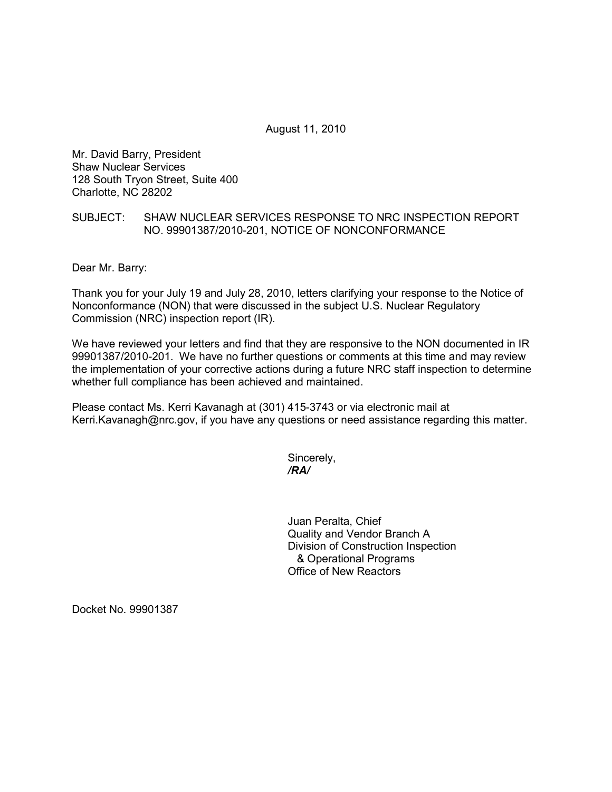August 11, 2010

Mr. David Barry, President Shaw Nuclear Services 128 South Tryon Street, Suite 400 Charlotte, NC 28202

## SUBJECT: SHAW NUCLEAR SERVICES RESPONSE TO NRC INSPECTION REPORT NO. 99901387/2010-201, NOTICE OF NONCONFORMANCE

Dear Mr. Barry:

Thank you for your July 19 and July 28, 2010, letters clarifying your response to the Notice of Nonconformance (NON) that were discussed in the subject U.S. Nuclear Regulatory Commission (NRC) inspection report (IR).

We have reviewed your letters and find that they are responsive to the NON documented in IR 99901387/2010-201. We have no further questions or comments at this time and may review the implementation of your corrective actions during a future NRC staff inspection to determine whether full compliance has been achieved and maintained.

Please contact Ms. Kerri Kavanagh at (301) 415-3743 or via electronic mail at Kerri.Kavanagh@nrc.gov, if you have any questions or need assistance regarding this matter.

Sincerely, */RA/* 

> Juan Peralta, Chief Quality and Vendor Branch A Division of Construction Inspection & Operational Programs Office of New Reactors

Docket No. 99901387